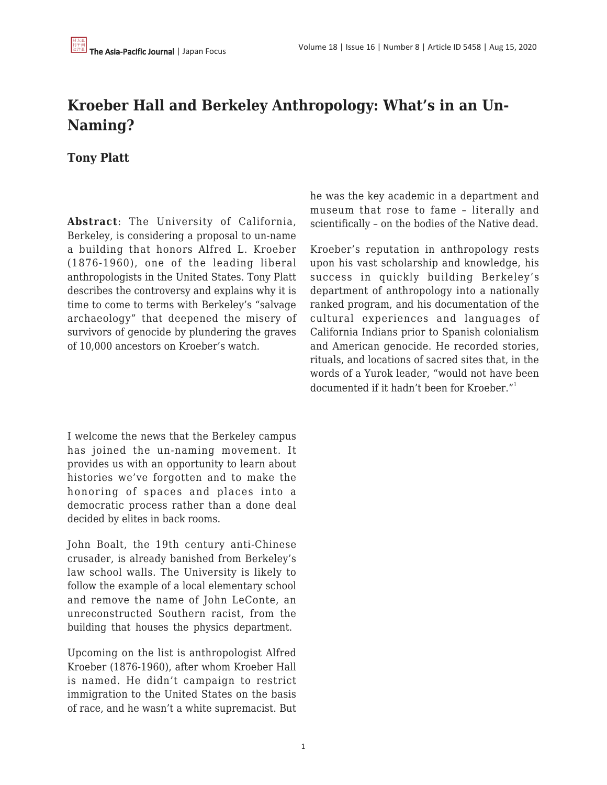## **Kroeber Hall and Berkeley Anthropology: What's in an Un-Naming?**

## **Tony Platt**

**Abstract**: The University of California, Berkeley, is considering a proposal to un-name a building that honors Alfred L. Kroeber (1876-1960), one of the leading liberal anthropologists in the United States. Tony Platt describes the controversy and explains why it is time to come to terms with Berkeley's "salvage archaeology" that deepened the misery of survivors of genocide by plundering the graves of 10,000 ancestors on Kroeber's watch.

I welcome the news that the Berkeley campus has joined the un-naming movement. It provides us with an opportunity to learn about histories we've forgotten and to make the honoring of spaces and places into a democratic process rather than a done deal decided by elites in back rooms.

John Boalt, the 19th century anti-Chinese crusader, is already banished from Berkeley's law school walls. The University is likely to follow the example of a local elementary school and remove the name of John LeConte, an unreconstructed Southern racist, from the building that houses the physics department.

Upcoming on the list is anthropologist Alfred Kroeber (1876-1960), after whom Kroeber Hall is named. He didn't campaign to restrict immigration to the United States on the basis of race, and he wasn't a white supremacist. But he was the key academic in a department and museum that rose to fame – literally and scientifically – on the bodies of the Native dead.

Kroeber's reputation in anthropology rests upon his vast scholarship and knowledge, his success in quickly building Berkeley's department of anthropology into a nationally ranked program, and his documentation of the cultural experiences and languages of California Indians prior to Spanish colonialism and American genocide. He recorded stories, rituals, and locations of sacred sites that, in the words of a Yurok leader, "would not have been documented if it hadn't been for Kroeber."<sup>1</sup>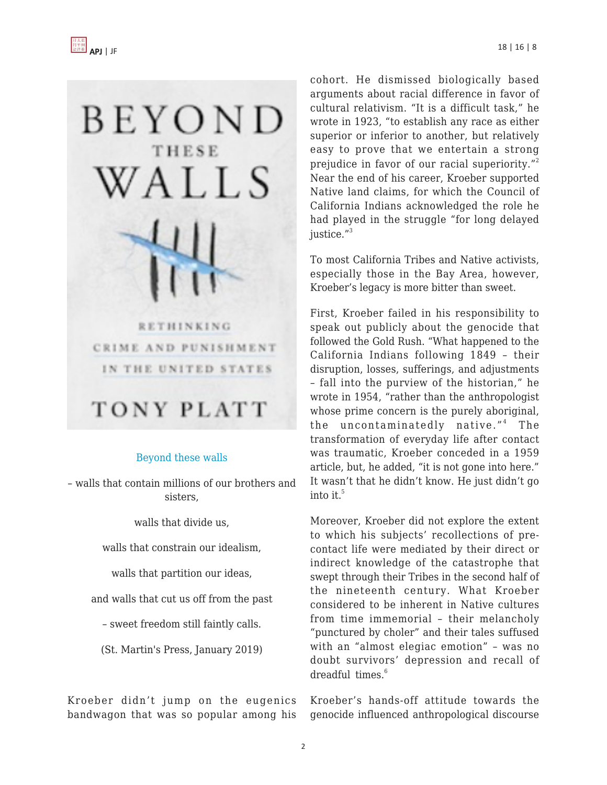

## [Beyond these walls](https://us.macmillan.com/books/9781250085115)

– walls that contain millions of our brothers and sisters,

walls that divide us,

walls that constrain our idealism,

walls that partition our ideas,

and walls that cut us off from the past

– sweet freedom still faintly calls.

(St. Martin's Press, January 2019)

Kroeber didn't jump on the eugenics bandwagon that was so popular among his cohort. He dismissed biologically based arguments about racial difference in favor of cultural relativism. "It is a difficult task," he wrote in 1923, "to establish any race as either superior or inferior to another, but relatively easy to prove that we entertain a strong prejudice in favor of our racial superiority."<sup>2</sup> Near the end of his career, Kroeber supported Native land claims, for which the Council of California Indians acknowledged the role he had played in the struggle "for long delayed justice."<sup>3</sup>

To most California Tribes and Native activists, especially those in the Bay Area, however, Kroeber's legacy is more bitter than sweet.

First, Kroeber failed in his responsibility to speak out publicly about the genocide that followed the Gold Rush. "What happened to the California Indians following 1849 – their disruption, losses, sufferings, and adjustments – fall into the purview of the historian," he wrote in 1954, "rather than the anthropologist whose prime concern is the purely aboriginal, the uncontaminatedly native."<sup>4</sup> The transformation of everyday life after contact was traumatic, Kroeber conceded in a 1959 article, but, he added, "it is not gone into here." It wasn't that he didn't know. He just didn't go into it. $5$ 

Moreover, Kroeber did not explore the extent to which his subjects' recollections of precontact life were mediated by their direct or indirect knowledge of the catastrophe that swept through their Tribes in the second half of the nineteenth century. What Kroeber considered to be inherent in Native cultures from time immemorial – their melancholy "punctured by choler" and their tales suffused with an "almost elegiac emotion" – was no doubt survivors' depression and recall of dreadful times. $6$ 

Kroeber's hands-off attitude towards the genocide influenced anthropological discourse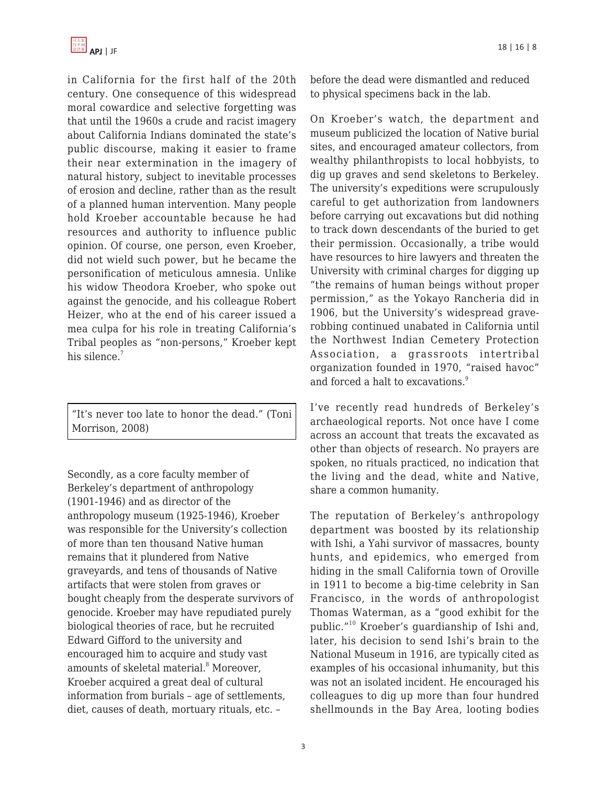in California for the first half of the 20th century. One consequence of this widespread moral cowardice and selective forgetting was that until the 1960s a crude and racist imagery about California Indians dominated the state's public discourse, making it easier to frame their near extermination in the imagery of natural history, subject to inevitable processes of erosion and decline, rather than as the result of a planned human intervention. Many people hold Kroeber accountable because he had resources and authority to influence public opinion. Of course, one person, even Kroeber, did not wield such power, but he became the personification of meticulous amnesia. Unlike his widow Theodora Kroeber, who spoke out against the genocide, and his colleague Robert Heizer, who at the end of his career issued a mea culpa for his role in treating California's Tribal peoples as "non-persons," Kroeber kept his silence.<sup>7</sup>

"It's never too late to honor the dead." (Toni Morrison, 2008)

Secondly, as a core faculty member of Berkeley's department of anthropology (1901-1946) and as director of the anthropology museum (1925-1946), Kroeber was responsible for the University's collection of more than ten thousand Native human remains that it plundered from Native graveyards, and tens of thousands of Native artifacts that were stolen from graves or bought cheaply from the desperate survivors of genocide. Kroeber may have repudiated purely biological theories of race, but he recruited Edward Gifford to the university and encouraged him to acquire and study vast amounts of skeletal material.<sup>8</sup> Moreover, Kroeber acquired a great deal of cultural information from burials – age of settlements, diet, causes of death, mortuary rituals, etc. –

before the dead were dismantled and reduced to physical specimens back in the lab.

On Kroeber's watch, the department and museum publicized the location of Native burial sites, and encouraged amateur collectors, from wealthy philanthropists to local hobbyists, to dig up graves and send skeletons to Berkeley. The university's expeditions were scrupulously careful to get authorization from landowners before carrying out excavations but did nothing to track down descendants of the buried to get their permission. Occasionally, a tribe would have resources to hire lawyers and threaten the University with criminal charges for digging up "the remains of human beings without proper permission," as the Yokayo Rancheria did in 1906, but the University's widespread graverobbing continued unabated in California until the Northwest Indian Cemetery Protection Association, a grassroots intertribal organization founded in 1970, "raised havoc" and forced a halt to excavations.<sup>9</sup>

I've recently read hundreds of Berkeley's archaeological reports. Not once have I come across an account that treats the excavated as other than objects of research. No prayers are spoken, no rituals practiced, no indication that the living and the dead, white and Native, share a common humanity.

The reputation of Berkeley's anthropology department was boosted by its relationship with Ishi, a Yahi survivor of massacres, bounty hunts, and epidemics, who emerged from hiding in the small California town of Oroville in 1911 to become a big-time celebrity in San Francisco, in the words of anthropologist Thomas Waterman, as a "good exhibit for the public."<sup>10</sup> Kroeber's guardianship of Ishi and, later, his decision to send Ishi's brain to the National Museum in 1916, are typically cited as examples of his occasional inhumanity, but this was not an isolated incident. He encouraged his colleagues to dig up more than four hundred shellmounds in the Bay Area, looting bodies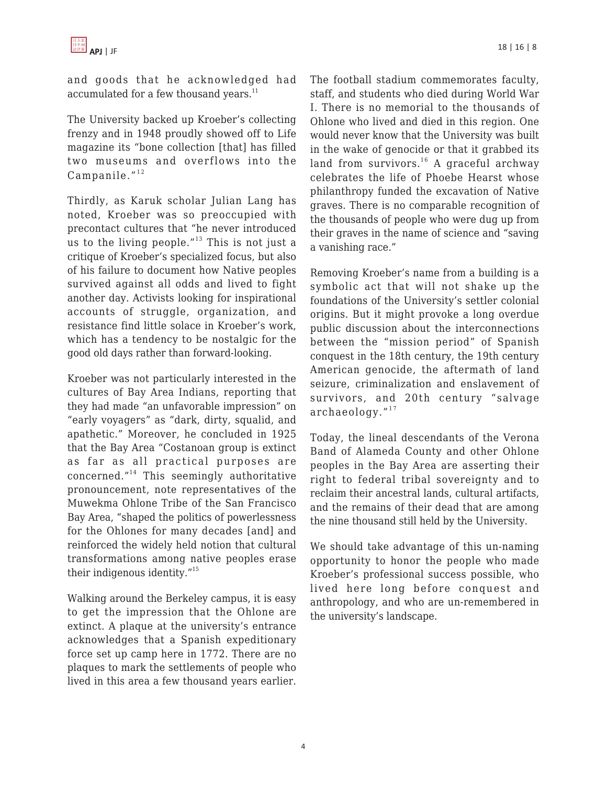and goods that he acknowledged had accumulated for a few thousand years.<sup>11</sup>

The University backed up Kroeber's collecting frenzy and in 1948 proudly showed off to Life magazine its "bone collection [that] has filled two museums and overflows into the Campanile. $^{\prime\prime 12}$ 

Thirdly, as Karuk scholar Julian Lang has noted, Kroeber was so preoccupied with precontact cultures that "he never introduced us to the living people. $"13$  This is not just a critique of Kroeber's specialized focus, but also of his failure to document how Native peoples survived against all odds and lived to fight another day. Activists looking for inspirational accounts of struggle, organization, and resistance find little solace in Kroeber's work, which has a tendency to be nostalgic for the good old days rather than forward-looking.

Kroeber was not particularly interested in the cultures of Bay Area Indians, reporting that they had made "an unfavorable impression" on "early voyagers" as "dark, dirty, squalid, and apathetic." Moreover, he concluded in 1925 that the Bay Area "Costanoan group is extinct as far as all practical purposes are concerned."<sup>14</sup> This seemingly authoritative pronouncement, note representatives of the Muwekma Ohlone Tribe of the San Francisco Bay Area, "shaped the politics of powerlessness for the Ohlones for many decades [and] and reinforced the widely held notion that cultural transformations among native peoples erase their indigenous identity."<sup>15</sup>

Walking around the Berkeley campus, it is easy to get the impression that the Ohlone are extinct. A plaque at the university's entrance acknowledges that a Spanish expeditionary force set up camp here in 1772. There are no plaques to mark the settlements of people who lived in this area a few thousand years earlier.

The football stadium commemorates faculty, staff, and students who died during World War I. There is no memorial to the thousands of Ohlone who lived and died in this region. One would never know that the University was built in the wake of genocide or that it grabbed its land from survivors.<sup>16</sup> A graceful archway celebrates the life of Phoebe Hearst whose philanthropy funded the excavation of Native graves. There is no comparable recognition of the thousands of people who were dug up from their graves in the name of science and "saving a vanishing race."

Removing Kroeber's name from a building is a symbolic act that will not shake up the foundations of the University's settler colonial origins. But it might provoke a long overdue public discussion about the interconnections between the "mission period" of Spanish conquest in the 18th century, the 19th century American genocide, the aftermath of land seizure, criminalization and enslavement of survivors, and 20th century "salvage  $archaeology.$ "<sup>17</sup>

Today, the lineal descendants of the Verona Band of Alameda County and other Ohlone peoples in the Bay Area are asserting their right to federal tribal sovereignty and to reclaim their ancestral lands, cultural artifacts, and the remains of their dead that are among the nine thousand still held by the University.

We should take advantage of this un-naming opportunity to honor the people who made Kroeber's professional success possible, who lived here long before conquest and anthropology, and who are un-remembered in the university's landscape.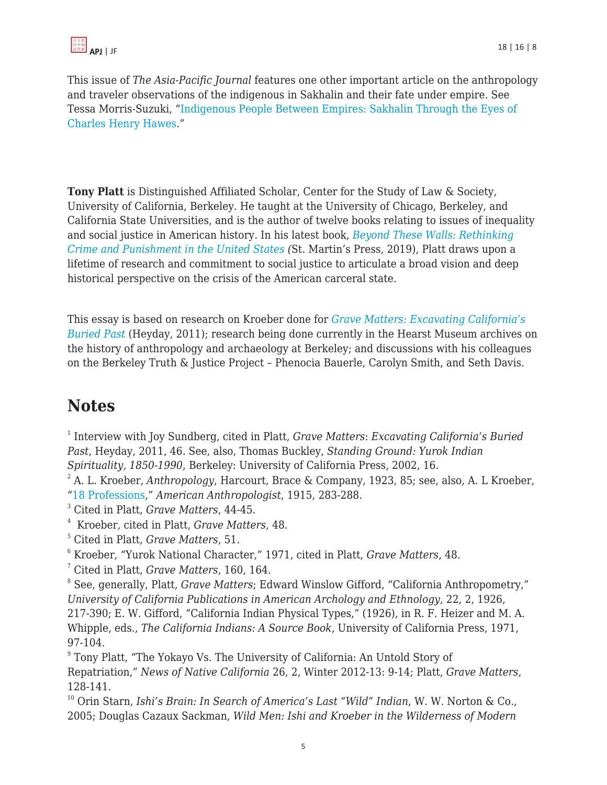This issue of *The Asia-Pacific Journal* features one other important article on the anthropology and traveler observations of the indigenous in Sakhalin and their fate under empire. See Tessa Morris-Suzuki, ["Indigenous People Between Empires: Sakhalin Through the Eyes of](https://apjjf.org/2020/16/Morris-Suzuki.html) [Charles Henry Hawes](https://apjjf.org/2020/16/Morris-Suzuki.html)."

**Tony Platt** is Distinguished Affiliated Scholar, Center for the Study of Law & Society, University of California, Berkeley. He taught at the University of Chicago, Berkeley, and California State Universities, and is the author of twelve books relating to issues of inequality and social justice in American history. In his latest book, *[Beyond These Walls: Rethinking](https://us.macmillan.com/books/9781250085115) [Crime and Punishment in the United States](https://us.macmillan.com/books/9781250085115) (*St. Martin's Press, 2019), Platt draws upon a lifetime of research and commitment to social justice to articulate a broad vision and deep historical perspective on the crisis of the American carceral state.

This essay is based on research on Kroeber done for *[Grave Matters: Excavating California's](https://www.amazon.com/Grave-Matters-Excavating-Californias-Buried/dp/1597141623/?tag=theasipacjo0b-20) [Buried Past](https://www.amazon.com/Grave-Matters-Excavating-Californias-Buried/dp/1597141623/?tag=theasipacjo0b-20)* [\(](https://www.amazon.com/Grave-Matters-Excavating-Californias-Buried/dp/1597141623/?tag=theasipacjo0b-20)Heyday, 2011); research being done currently in the Hearst Museum archives on the history of anthropology and archaeology at Berkeley; and discussions with his colleagues on the Berkeley Truth & Justice Project – Phenocia Bauerle, Carolyn Smith, and Seth Davis.

## **Notes**

1 Interview with Joy Sundberg, cited in Platt, *Grave Matters*: *Excavating California's Buried Past*, Heyday, 2011, 46. See, also, Thomas Buckley, *Standing Ground: Yurok Indian Spirituality, 1850-1990*, Berkeley: University of California Press, 2002, 16.

2 A. L. Kroeber, *Anthropology*, Harcourt, Brace & Company, 1923, 85; see, also, A. L Kroeber, ["18 Professions](https://archive.org/details/jstor-660348/page/n1/mode/2up)," *American Anthropologist*, 1915, 283-288.

<sup>3</sup> Cited in Platt, *Grave Matters*, 44-45.

4 Kroeber, cited in Platt, *Grave Matters*, 48.

<sup>6</sup> Kroeber, "Yurok National Character," 1971, cited in Platt, *Grave Matters*, 48.

<sup>7</sup> Cited in Platt, *Grave Matters*, 160, 164.

8 See, generally, Platt, *Grave Matters*; Edward Winslow Gifford, "California Anthropometry," *University of California Publications in American Archology and Ethnology*, 22, 2, 1926, 217-390; E. W. Gifford, "California Indian Physical Types," (1926), in R. F. Heizer and M. A. Whipple, eds., *The California Indians: A Source Book*, University of California Press, 1971, 97-104.

<sup>9</sup> Tony Platt, "The Yokayo Vs. The University of California: An Untold Story of Repatriation," *News of Native California* 26, 2, Winter 2012-13: 9-14; Platt, *Grave Matters*, 128-141.

<sup>10</sup> Orin Starn, *Ishi's Brain: In Search of America's Last "Wild" Indian*, W. W. Norton & Co., 2005; Douglas Cazaux Sackman, *Wild Men: Ishi and Kroeber in the Wilderness of Modern*

<sup>5</sup> Cited in Platt, *Grave Matters*, 51.